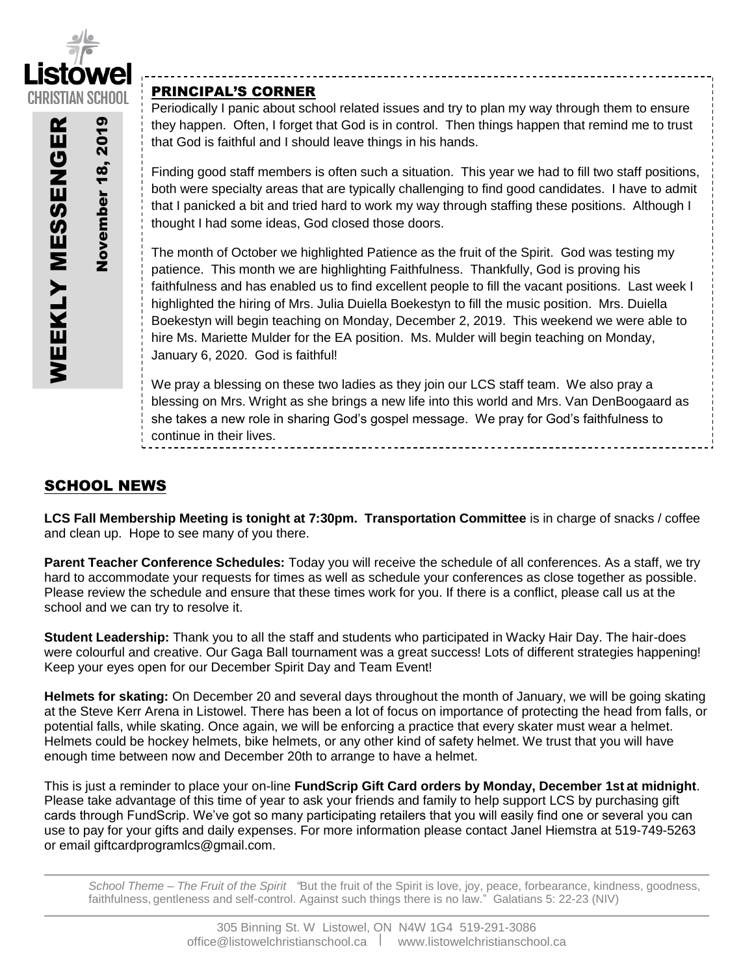

November November 18,

201

# PRINCIPAL'S CORNER

Periodically I panic about school related issues and try to plan my way through them to ensure they happen. Often, I forget that God is in control. Then things happen that remind me to trust that God is faithful and I should leave things in his hands.

Finding good staff members is often such a situation. This year we had to fill two staff positions, both were specialty areas that are typically challenging to find good candidates. I have to admit that I panicked a bit and tried hard to work my way through staffing these positions. Although I thought I had some ideas, God closed those doors.

The month of October we highlighted Patience as the fruit of the Spirit. God was testing my patience. This month we are highlighting Faithfulness. Thankfully, God is proving his faithfulness and has enabled us to find excellent people to fill the vacant positions. Last week I highlighted the hiring of Mrs. Julia Duiella Boekestyn to fill the music position. Mrs. Duiella Boekestyn will begin teaching on Monday, December 2, 2019. This weekend we were able to hire Ms. Mariette Mulder for the EA position. Ms. Mulder will begin teaching on Monday, January 6, 2020. God is faithful!

We pray a blessing on these two ladies as they join our LCS staff team. We also pray a blessing on Mrs. Wright as she brings a new life into this world and Mrs. Van DenBoogaard as she takes a new role in sharing God's gospel message. We pray for God's faithfulness to continue in their lives.

# SCHOOL NEWS

**LCS Fall Membership Meeting is tonight at 7:30pm. Transportation Committee** is in charge of snacks / coffee and clean up. Hope to see many of you there.

**Parent Teacher Conference Schedules:** Today you will receive the schedule of all conferences. As a staff, we try hard to accommodate your requests for times as well as schedule your conferences as close together as possible. Please review the schedule and ensure that these times work for you. If there is a conflict, please call us at the school and we can try to resolve it.

**Student Leadership:** Thank you to all the staff and students who participated in Wacky Hair Day. The hair-does were colourful and creative. Our Gaga Ball tournament was a great success! Lots of different strategies happening! Keep your eyes open for our December Spirit Day and Team Event!

**Helmets for skating:** On December 20 and several days throughout the month of January, we will be going skating at the Steve Kerr Arena in Listowel. There has been a lot of focus on importance of protecting the head from falls, or potential falls, while skating. Once again, we will be enforcing a practice that every skater must wear a helmet. Helmets could be hockey helmets, bike helmets, or any other kind of safety helmet. We trust that you will have enough time between now and December 20th to arrange to have a helmet.

This is just a reminder to place your on-line **FundScrip Gift Card orders by Monday, December 1st at midnight**. Please take advantage of this time of year to ask your friends and family to help support LCS by purchasing gift cards through FundScrip. We've got so many participating retailers that you will easily find one or several you can use to pay for your gifts and daily expenses. For more information please contact Janel Hiemstra at 519-749-5263 or email giftcardprogramlcs@gmail.com.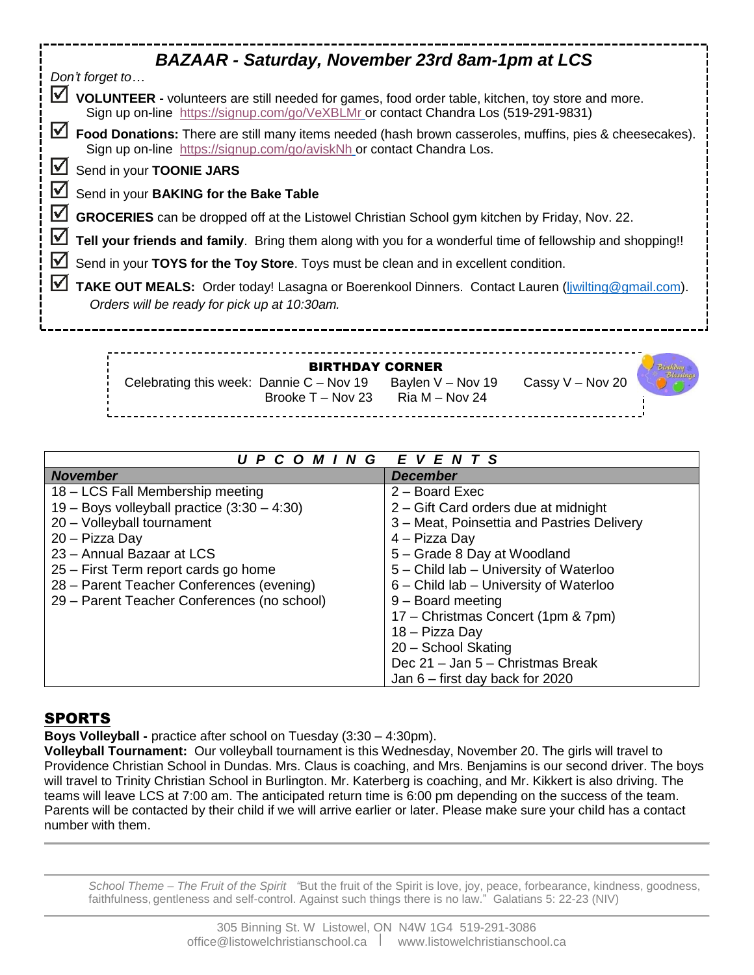| <b>BAZAAR - Saturday, November 23rd 8am-1pm at LCS</b>                                                                                                                                        |  |  |  |
|-----------------------------------------------------------------------------------------------------------------------------------------------------------------------------------------------|--|--|--|
| Don't forget to                                                                                                                                                                               |  |  |  |
| M<br>VOLUNTEER - volunteers are still needed for games, food order table, kitchen, toy store and more.<br>Sign up on-line https://signup.com/go/VeXBLMr or contact Chandra Los (519-291-9831) |  |  |  |
| M<br>Food Donations: There are still many items needed (hash brown casseroles, muffins, pies & cheesecakes).<br>Sign up on-line https://signup.com/go/aviskNh or contact Chandra Los.         |  |  |  |
| <u>M</u><br>Send in your TOONIE JARS                                                                                                                                                          |  |  |  |
| <u>M</u><br>Send in your BAKING for the Bake Table                                                                                                                                            |  |  |  |
| <u>M</u><br>GROCERIES can be dropped off at the Listowel Christian School gym kitchen by Friday, Nov. 22.                                                                                     |  |  |  |
| ⊻<br>Tell your friends and family. Bring them along with you for a wonderful time of fellowship and shopping!!                                                                                |  |  |  |
| <u>V</u><br>Send in your TOYS for the Toy Store. Toys must be clean and in excellent condition.                                                                                               |  |  |  |
| M<br>TAKE OUT MEALS: Order today! Lasagna or Boerenkool Dinners. Contact Lauren (liwilting@gmail.com).<br>Orders will be ready for pick up at 10:30am.                                        |  |  |  |
|                                                                                                                                                                                               |  |  |  |
| <b>BIRTHDAY CORNER</b><br>Cassy V - Nov 20<br>Celebrating this week: Dannie $C - Nov 19$<br>Baylen V - Nov 19                                                                                 |  |  |  |

| E V E N T S<br>U P C O M I N G                |                                            |  |
|-----------------------------------------------|--------------------------------------------|--|
| <b>November</b>                               | December                                   |  |
| 18 - LCS Fall Membership meeting              | 2 - Board Exec                             |  |
| 19 - Boys volleyball practice $(3:30 - 4:30)$ | 2 – Gift Card orders due at midnight       |  |
| 20 - Volleyball tournament                    | 3 – Meat, Poinsettia and Pastries Delivery |  |
| 20 - Pizza Day                                | 4 - Pizza Day                              |  |
| 23 - Annual Bazaar at LCS                     | 5 - Grade 8 Day at Woodland                |  |
| 25 – First Term report cards go home          | 5 - Child lab - University of Waterloo     |  |
| 28 - Parent Teacher Conferences (evening)     | 6 - Child lab - University of Waterloo     |  |
| 29 – Parent Teacher Conferences (no school)   | $9 -$ Board meeting                        |  |
|                                               | 17 – Christmas Concert (1pm & 7pm)         |  |
|                                               | 18 – Pizza Day                             |  |
|                                               | 20 - School Skating                        |  |
|                                               | Dec 21 - Jan 5 - Christmas Break           |  |
|                                               | Jan $6$ – first day back for 2020          |  |

Brooke  $T - Nov 23$  Ria M – Nov 24

# SPORTS

**Boys Volleyball -** practice after school on Tuesday (3:30 – 4:30pm).

**Volleyball Tournament:** Our volleyball tournament is this Wednesday, November 20. The girls will travel to Providence Christian School in Dundas. Mrs. Claus is coaching, and Mrs. Benjamins is our second driver. The boys will travel to Trinity Christian School in Burlington. Mr. Katerberg is coaching, and Mr. Kikkert is also driving. The teams will leave LCS at 7:00 am. The anticipated return time is 6:00 pm depending on the success of the team. Parents will be contacted by their child if we will arrive earlier or later. Please make sure your child has a contact number with them.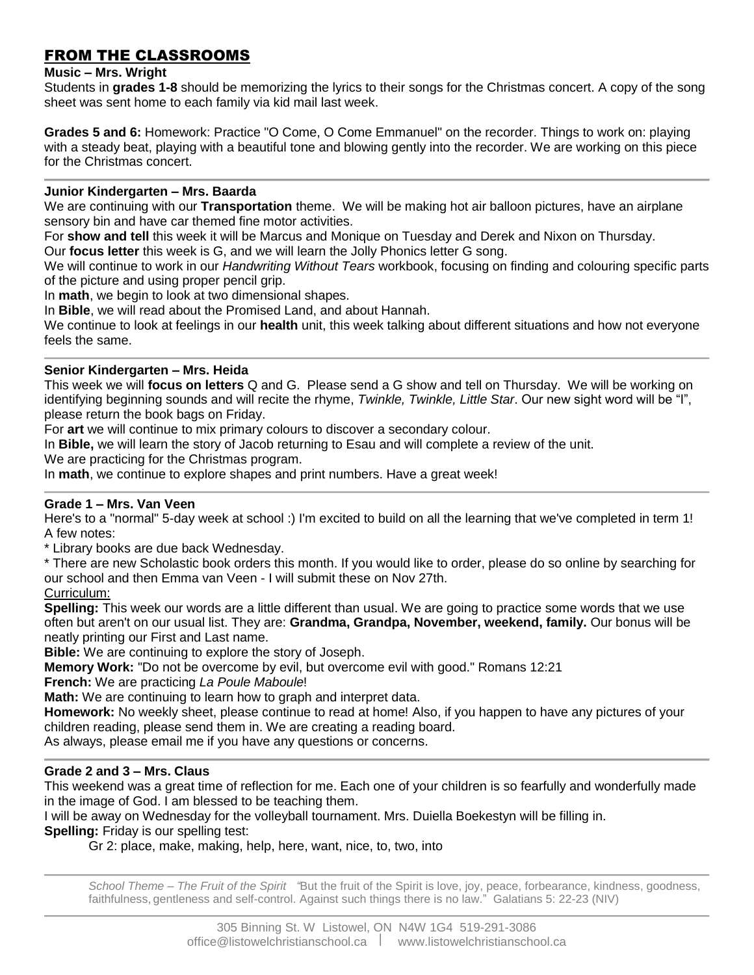# FROM THE CLASSROOMS

### **Music – Mrs. Wright**

Students in **grades 1-8** should be memorizing the lyrics to their songs for the Christmas concert. A copy of the song sheet was sent home to each family via kid mail last week.

**Grades 5 and 6:** Homework: Practice "O Come, O Come Emmanuel" on the recorder. Things to work on: playing with a steady beat, playing with a beautiful tone and blowing gently into the recorder. We are working on this piece for the Christmas concert.

#### **Junior Kindergarten – Mrs. Baarda**

We are continuing with our **Transportation** theme. We will be making hot air balloon pictures, have an airplane sensory bin and have car themed fine motor activities.

For **show and tell** this week it will be Marcus and Monique on Tuesday and Derek and Nixon on Thursday.

Our **focus letter** this week is G, and we will learn the Jolly Phonics letter G song.

We will continue to work in our *Handwriting Without Tears* workbook, focusing on finding and colouring specific parts of the picture and using proper pencil grip.

In **math**, we begin to look at two dimensional shapes.

In **Bible**, we will read about the Promised Land, and about Hannah.

We continue to look at feelings in our **health** unit, this week talking about different situations and how not everyone feels the same.

#### **Senior Kindergarten – Mrs. Heida**

This week we will **focus on letters** Q and G. Please send a G show and tell on Thursday. We will be working on identifying beginning sounds and will recite the rhyme, *Twinkle, Twinkle, Little Star*. Our new sight word will be "I", please return the book bags on Friday.

For **art** we will continue to mix primary colours to discover a secondary colour.

In **Bible,** we will learn the story of Jacob returning to Esau and will complete a review of the unit.

We are practicing for the Christmas program.

In **math**, we continue to explore shapes and print numbers. Have a great week!

### **Grade 1 – Mrs. Van Veen**

Here's to a "normal" 5-day week at school :) I'm excited to build on all the learning that we've completed in term 1! A few notes:

\* Library books are due back Wednesday.

\* There are new Scholastic book orders this month. If you would like to order, please do so online by searching for our school and then Emma van Veen - I will submit these on Nov 27th.

#### Curriculum:

**Spelling:** This week our words are a little different than usual. We are going to practice some words that we use often but aren't on our usual list. They are: **Grandma, Grandpa, November, weekend, family.** Our bonus will be neatly printing our First and Last name.

**Bible:** We are continuing to explore the story of Joseph.

**Memory Work:** "Do not be overcome by evil, but overcome evil with good." Romans 12:21

**French:** We are practicing *La Poule Maboule*!

**Math:** We are continuing to learn how to graph and interpret data.

**Homework:** No weekly sheet, please continue to read at home! Also, if you happen to have any pictures of your children reading, please send them in. We are creating a reading board.

As always, please email me if you have any questions or concerns.

### **Grade 2 and 3 – Mrs. Claus**

This weekend was a great time of reflection for me. Each one of your children is so fearfully and wonderfully made in the image of God. I am blessed to be teaching them.

I will be away on Wednesday for the volleyball tournament. Mrs. Duiella Boekestyn will be filling in.

**Spelling:** Friday is our spelling test:

Gr 2: place, make, making, help, here, want, nice, to, two, into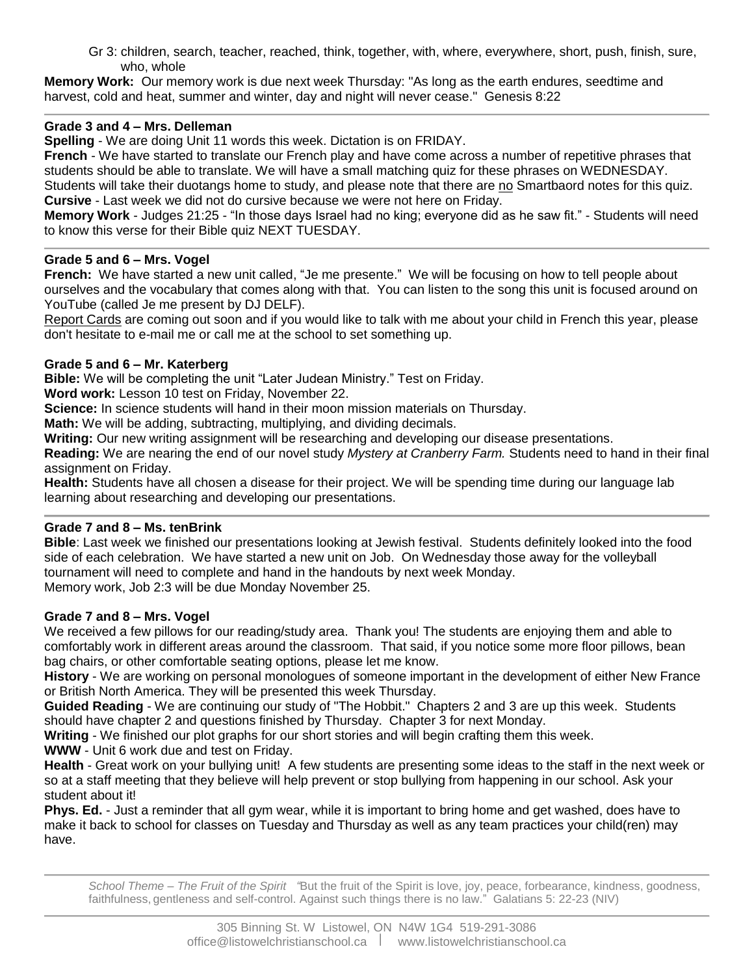Gr 3: children, search, teacher, reached, think, together, with, where, everywhere, short, push, finish, sure, who, whole

**Memory Work:** Our memory work is due next week Thursday: "As long as the earth endures, seedtime and harvest, cold and heat, summer and winter, day and night will never cease." Genesis 8:22

## **Grade 3 and 4 – Mrs. Delleman**

**Spelling** - We are doing Unit 11 words this week. Dictation is on FRIDAY.

**French** - We have started to translate our French play and have come across a number of repetitive phrases that students should be able to translate. We will have a small matching quiz for these phrases on WEDNESDAY. Students will take their duotangs home to study, and please note that there are no Smartbaord notes for this quiz.

**Cursive** - Last week we did not do cursive because we were not here on Friday.

**Memory Work** - Judges 21:25 - "In those days Israel had no king; everyone did as he saw fit." - Students will need to know this verse for their Bible quiz NEXT TUESDAY.

## **Grade 5 and 6 – Mrs. Vogel**

**French:** We have started a new unit called, "Je me presente." We will be focusing on how to tell people about ourselves and the vocabulary that comes along with that. You can listen to the song this unit is focused around on YouTube (called Je me present by DJ DELF).

Report Cards are coming out soon and if you would like to talk with me about your child in French this year, please don't hesitate to e-mail me or call me at the school to set something up.

## **Grade 5 and 6 – Mr. Katerberg**

**Bible:** We will be completing the unit "Later Judean Ministry." Test on Friday.

**Word work:** Lesson 10 test on Friday, November 22.

**Science:** In science students will hand in their moon mission materials on Thursday.

**Math:** We will be adding, subtracting, multiplying, and dividing decimals.

**Writing:** Our new writing assignment will be researching and developing our disease presentations.

**Reading:** We are nearing the end of our novel study *Mystery at Cranberry Farm.* Students need to hand in their final assignment on Friday.

**Health:** Students have all chosen a disease for their project. We will be spending time during our language lab learning about researching and developing our presentations.

# **Grade 7 and 8 – Ms. tenBrink**

**Bible**: Last week we finished our presentations looking at Jewish festival. Students definitely looked into the food side of each celebration. We have started a new unit on Job. On Wednesday those away for the volleyball tournament will need to complete and hand in the handouts by next week Monday. Memory work, Job 2:3 will be due Monday November 25.

# **Grade 7 and 8 – Mrs. Vogel**

We received a few pillows for our reading/study area. Thank you! The students are enjoying them and able to comfortably work in different areas around the classroom. That said, if you notice some more floor pillows, bean bag chairs, or other comfortable seating options, please let me know.

**History** - We are working on personal monologues of someone important in the development of either New France or British North America. They will be presented this week Thursday.

**Guided Reading** - We are continuing our study of "The Hobbit." Chapters 2 and 3 are up this week. Students should have chapter 2 and questions finished by Thursday. Chapter 3 for next Monday.

**Writing** - We finished our plot graphs for our short stories and will begin crafting them this week. **WWW** - Unit 6 work due and test on Friday.

**Health** - Great work on your bullying unit! A few students are presenting some ideas to the staff in the next week or so at a staff meeting that they believe will help prevent or stop bullying from happening in our school. Ask your student about it!

**Phys. Ed.** - Just a reminder that all gym wear, while it is important to bring home and get washed, does have to make it back to school for classes on Tuesday and Thursday as well as any team practices your child(ren) may have.